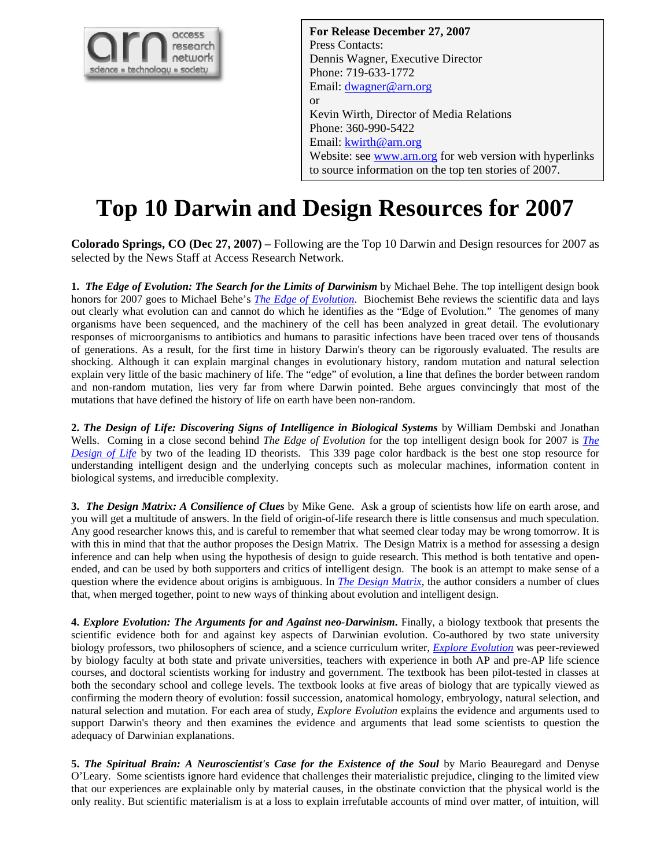

**For Release December 27, 2007**  Press Contacts: Dennis Wagner, Executive Director Phone: 719-633-1772 Email: [dwagner@arn.org](mailto:dwagner@arn.org) or Kevin Wirth, Director of Media Relations Phone: 360-990-5422 Email: **[kwirth@arn.org](mailto:kwirth@arn.org)** Website: see [www.arn.org](http://www.arn.org/) for web version with hyperlinks to source information on the top ten stories of 2007.

## **Top 10 Darwin and Design Resources for 2007**

**Colorado Springs, CO (Dec 27, 2007) –** Following are the Top 10 Darwin and Design resources for 2007 as selected by the News Staff at Access Research Network.

**1.** *The Edge of Evolution: The Search for the Limits of Darwinism* by Michael Behe. The top intelligent design book honors for 2007 goes to Michael Behe's *[The Edge of Evolution](http://www.arn.org/arnproducts/php/book_show_item.php?id=116)*. Biochemist Behe reviews the scientific data and lays out clearly what evolution can and cannot do which he identifies as the "Edge of Evolution." The genomes of many organisms have been sequenced, and the machinery of the cell has been analyzed in great detail. The evolutionary responses of microorganisms to antibiotics and humans to parasitic infections have been traced over tens of thousands of generations. As a result, for the first time in history Darwin's theory can be rigorously evaluated. The results are shocking. Although it can explain marginal changes in evolutionary history, random mutation and natural selection explain very little of the basic machinery of life. The "edge" of evolution, a line that defines the border between random and non-random mutation, lies very far from where Darwin pointed. Behe argues convincingly that most of the mutations that have defined the history of life on earth have been non-random.

**2.** *The Design of Life: Discovering Signs of Intelligence in Biological Systems* by William Dembski and Jonathan Wells. Coming in a close second behind *The Edge of Evolution* for the top intelligent design book for 2007 is *[The](http://www.arn.org/arnproducts/php/book_show_item.php?id=121)  [Design of](http://www.arn.org/arnproducts/php/book_show_item.php?id=121) Life* by two of the leading ID theorists. This 339 page color hardback is the best one stop resource for understanding intelligent design and the underlying concepts such as molecular machines, information content in biological systems, and irreducible complexity.

**3.** *The Design Matrix: A Consilience of Clues* by Mike Gene.Ask a group of scientists how life on earth arose, and you will get a multitude of answers. In the field of origin-of-life research there is little consensus and much speculation. Any good researcher knows this, and is careful to remember that what seemed clear today may be wrong tomorrow. It is with this in mind that that the author proposes the Design Matrix. The Design Matrix is a method for assessing a design inference and can help when using the hypothesis of design to guide research. This method is both tentative and openended, and can be used by both supporters and critics of intelligent design. The book is an attempt to make sense of a question where the evidence about origins is ambiguous. In *[The Design Matrix](http://www.thedesignmatrix.com/index2.html)*, the author considers a number of clues that, when merged together, point to new ways of thinking about evolution and intelligent design.

**4.** *Explore Evolution: The Arguments for and Against neo-Darwinism***.** Finally, a biology textbook that presents the scientific evidence both for and against key aspects of Darwinian evolution. Co-authored by two state university biology professors, two philosophers of science, and a science curriculum writer, *[Explore Evolution](http://www.exploreevolution.com/)* was peer-reviewed by biology faculty at both state and private universities, teachers with experience in both AP and pre-AP life science courses, and doctoral scientists working for industry and government. The textbook has been pilot-tested in classes at both the secondary school and college levels. The textbook looks at five areas of biology that are typically viewed as confirming the modern theory of evolution: fossil succession, anatomical homology, embryology, natural selection, and natural selection and mutation. For each area of study, *Explore Evolution* explains the evidence and arguments used to support Darwin's theory and then examines the evidence and arguments that lead some scientists to question the adequacy of Darwinian explanations.

**5. The Spiritual Brain: A Neuroscientist's Case for the Existence of the Soul by Mario Beauregard and Denyse** O'Leary. Some scientists ignore hard evidence that challenges their materialistic prejudice, clinging to the limited view that our experiences are explainable only by material causes, in the obstinate conviction that the physical world is the only reality. But scientific materialism is at a loss to explain irrefutable accounts of mind over matter, of intuition, will